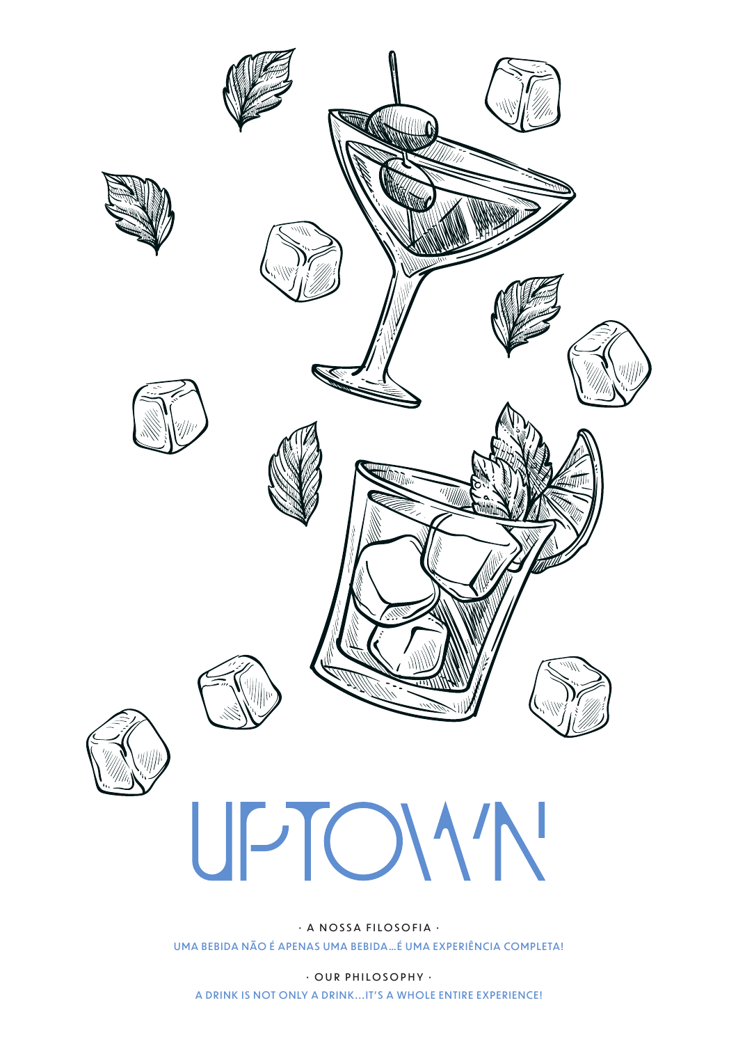

· A NOSSA FILOSOFIA · UMA BEBIDA NÃO É APENAS UMA BEBIDA... É UMA EXPERIÊNCIA COMPLETA!

· OUR PHILOSOPHY · A DRINK IS NOT ONLY A DRINK...IT'S A WHOLE ENTIRE EXPERIENCE!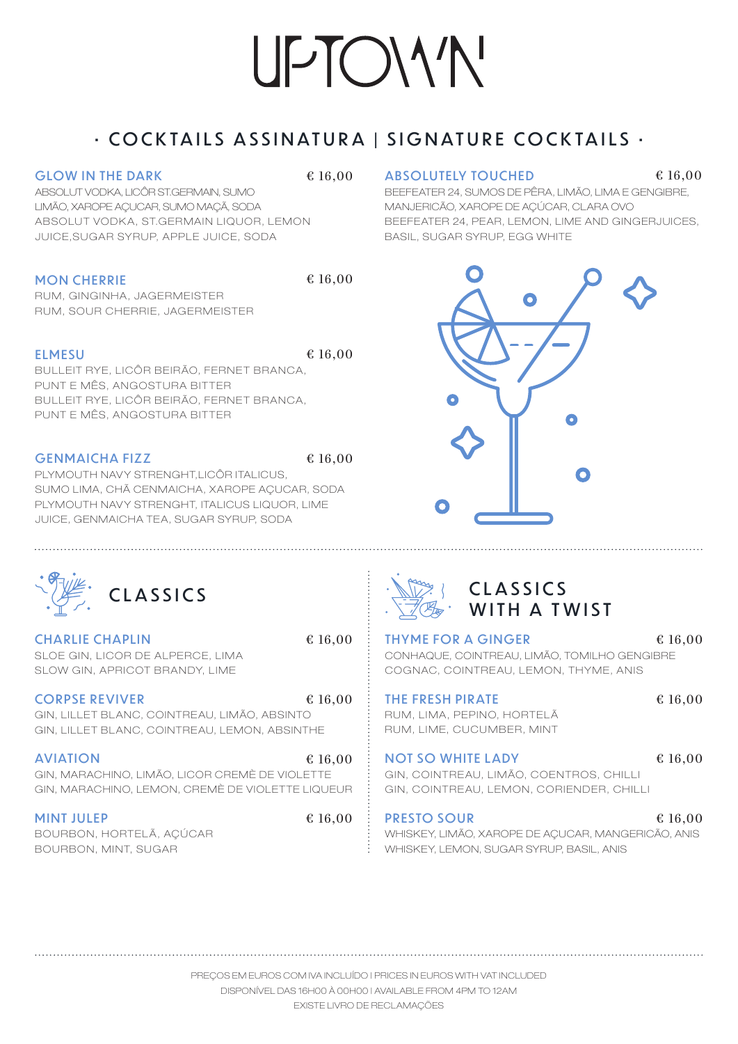## • COCKTAILS ASSINATURA | SIGNATURE COCKTAILS •

#### GLOW IN THE DARK

ABSOLUT VODKA, LICÔR ST.GERMAIN, SUMO LIMÃO, XAROPE AÇUCAR, SUMO MAÇÃ, SODA ABSOLUT VODKA, ST.GERMAIN LIQUOR, LEMON JUICE, SUGAR SYRUP, APPLE JUICE, SODA

#### MON CHERRIE

RUM, GINGINHA, JAGERMEISTER RUM, SOUR CHERRIE, JAGERMEISTER

#### ELMESU

€ 16,00

€ 16,00

BULLEIT RYE, LICÔR BEIRÃO, FERNET BRANCA, PUNT E MÊS, ANGOSTURA BITTER BULLEIT RYE, LICÔR BEIRÃO, FERNET BRANCA, PUNT E MÊS, ANGOSTURA BITTER

#### GENMAICHA FIZZ

€ 16,00

PLYMOUTH NAVY STRENGHT, LICÔR ITALICUS, SUMO LIMA, CHÃ CENMAICHA, XAROPE AÇUCAR, SODA PLYMOUTH NAVY STRENGHT, ITALICUS LIQUOR, LIME JUICE, GENMAICHA TEA, SUGAR SYRUP, SODA

#### $\text{£ } 16.00$  ABSOLUTELY TOUCHED  $\text{£ } 16.00$

BEEFEATER 24, SUMOS DE PÊRA, LIMÃO, LIMA E GENGIBRE, MANJERICÃO, XAROPE DE AÇÚCAR, CLARA OVO BEEFEATER 24, PEAR, LEMON, LIME AND GINGERJUICES, BASIL, SUGAR SYRUP, EGG WHITE



| <b>CLASSICS</b> |
|-----------------|
|                 |

CHARLIE CHAPLIN SLOE GIN, LICOR DE ALPERCE, LIMA SLOW GIN, APRICOT BRANDY, LIME

#### CORPSE REVIVER

GIN, LILLET BLANC, COINTREAU, LIMÃO, ABSINTO GIN, LILLET BLANC, COINTREAU, LEMON, ABSINTHE € 16,00

#### AVIATION

GIN, MARACHINO, LIMÃO, LICOR CREMÈ DE VIOLETTE GIN, MARACHINO, LEMON, CREMÈ DE VIOLETTE LIQUEUR € 16,00

#### MINT JULEP

BOURBON, HORTELÃ, AÇÚCAR BOURBON, MINT, SUGAR

€ 16,00

€ 16,00



## WITH A TWIST

THYME FOR A GINGER CONHAQUE, COINTREAU, LIMÃO, TOMILHO GENGIBRE COGNAC, COINTREAU, LEMON, THYME, ANIS € 16,00

THE FRESH PIRATE RUM, LIMA, PEPINO, HORTELÃ RUM, LIME, CUCUMBER, MINT

#### € 16,00

€ 16,00

NOT SO WHITE LADY GIN, COINTREAU, LIMÃO, COENTROS, CHILLI GIN, COINTREAU, LEMON, CORIENDER, CHILLI

PRESTO SOUR

€ 16,00

WHISKEY, LIMÃO, XAROPE DE AÇUCAR, MANGERICÃO, ANIS WHISKEY, LEMON, SUGAR SYRUP, BASIL, ANIS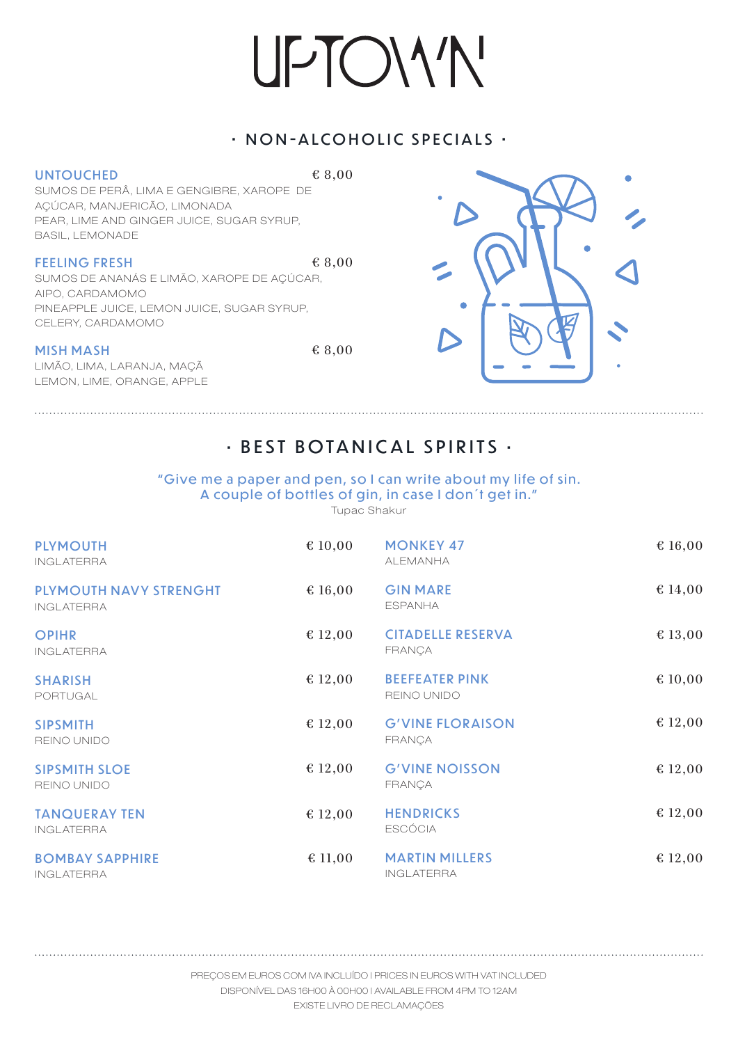### • NON-ALCOHOLIC SPECIALS •

#### UNTOUCHED

€ 8,00

SUMOS DE PERÂ, LIMA E GENGIBRE, XAROPE DE AÇÚCAR, MANJERICÃO, LIMONADA PEAR, LIME AND GINGER JUICE, SUGAR SYRUP, BASIL, LEMONADE

#### **FEELING FRESH**

SUMOS DE ANANÁS E LIMÃO, X AROPE DE AÇÚCAR, AIPO, CARDAMOMO PINEAPPLE JUICE, LEMON JUICE, SUGAR SYRUP, CELERY, CARDAMOMO

#### MISH MASH

LIMÃO, LIMA, LARANJA, MAÇÃ LEMON, LIME, ORANGE, APPLE



€ 8,00



## • BEST BOTANICAL SPIRITS •

#### "Give me a paper and pen, so I can write about my life of sin. A couple of bottles of gin, in case I don't get in."

Tupac Shakur

| <b>PLYMOUTH</b><br><b>INGLATERRA</b>        | € 10,00 | <b>MONKEY 47</b><br><b>ALEMANHA</b>        | € 16,00 |
|---------------------------------------------|---------|--------------------------------------------|---------|
| PLYMOUTH NAVY STRENGHT<br><b>INGLATERRA</b> | € 16,00 | <b>GIN MARE</b><br><b>ESPANHA</b>          | € 14,00 |
| <b>OPIHR</b><br><b>INGLATERRA</b>           | € 12,00 | <b>CITADELLE RESERVA</b><br><b>FRANCA</b>  | € 13,00 |
| <b>SHARISH</b><br>PORTUGAL                  | € 12,00 | <b>BEEFEATER PINK</b><br>REINO UNIDO       | € 10,00 |
| <b>SIPSMITH</b><br>REINO UNIDO              | € 12,00 | <b>G'VINE FLORAISON</b><br><b>FRANÇA</b>   | € 12,00 |
| <b>SIPSMITH SLOE</b><br>REINO UNIDO         | € 12,00 | <b>G'VINE NOISSON</b><br><b>FRANÇA</b>     | € 12,00 |
| <b>TANQUERAY TEN</b><br><b>INGLATERRA</b>   | € 12,00 | <b>HENDRICKS</b><br><b>ESCÓCIA</b>         | € 12,00 |
| <b>BOMBAY SAPPHIRE</b><br><b>INGLATERRA</b> | € 11,00 | <b>MARTIN MILLERS</b><br><b>INGLATERRA</b> | € 12,00 |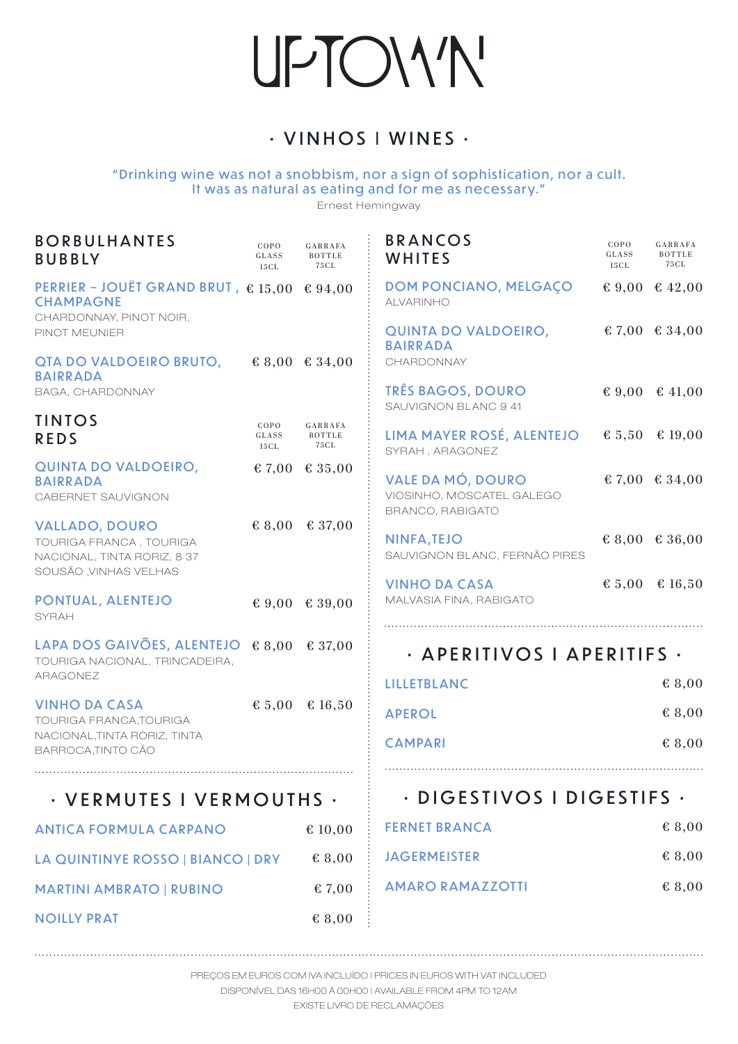## • VINHOS I WINES •

" Drinking wine was not a snobbism, nor a sign of sophistication, nor a cult. It was as natural as eating and for me as necessary."

Ernest Hemingway

| <b>BORBULHANTES</b><br><b>BUBBLY</b>                                                                         | COPO<br>GLASS<br>15 C L | GARRAFA<br>BOTTLE<br>75 C L | <b>BRANCOS</b><br>WHITES                                           | COPO<br>GLASS<br>15CL | GARRAFA<br>BOTTLE<br>75 C L |
|--------------------------------------------------------------------------------------------------------------|-------------------------|-----------------------------|--------------------------------------------------------------------|-----------------------|-----------------------------|
| PERRIER - JOUËT GRAND BRUT, $\epsilon$ 15,00 $\epsilon$ 94,00<br><b>CHAMPAGNE</b><br>CHARDONNAY, PINOT NOIR, |                         |                             | <b>DOM PONCIANO, MELGAÇO</b><br><b>ALVARINHO</b>                   |                       | € 9,00 € 42,00              |
| PINOT MEUNIER                                                                                                |                         |                             | QUINTA DO VALDOEIRO,<br><b>BAIRRADA</b>                            |                       | € 7,00 € 34,00              |
| QTA DO VALDOEIRO BRUTO,<br><b>BAIRRADA</b><br>BAGA, CHARDONNAY                                               |                         | € 8,00 € 34,00              | CHARDONNAY<br><b>TRÊS BAGOS, DOURO</b>                             |                       | € 9,00 € 41,00              |
|                                                                                                              |                         |                             | SAUVIGNON BLANC 9 41                                               |                       |                             |
| <b>TINTOS</b><br><b>REDS</b>                                                                                 | COPO<br>GLASS<br>15 C L | GARRAFA<br>BOTTLE<br>75 C L | LIMA MAYER ROSÉ, ALENTEJO<br>SYRAH, ARAGONEZ                       |                       | € 5,50 € 19,00              |
| QUINTA DO VALDOEIRO,<br><b>BAIRRADA</b><br>CABERNET SAUVIGNON                                                |                         | € 7,00 € 35,00              | VALE DA MÓ, DOURO<br>VIOSINHO, MOSCATEL GALEGO<br>BRANCO, RABIGATO |                       | € 7,00 € 34,00              |
| <b>VALLADO, DOURO</b><br>TOURIGA FRANCA, TOURIGA<br>NACIONAL, TINTA RORIZ, 8 37<br>SOUSÃO , VINHAS VELHAS    |                         | € 8,00 € 37,00              | <b>NINFA, TEJO</b><br>SAUVIGNON BLANC, FERNÃO PIRES                |                       | € 8,00 € 36,00              |
| PONTUAL, ALENTEJO<br><b>SYRAH</b>                                                                            |                         | € 9,00 € 39,00              | <b>VINHO DA CASA</b><br>MALVASIA FINA, RABIGATO                    |                       | € 5,00 € 16,50              |
| LAPA DOS GAIVÕES, ALENTEJO $\epsilon$ 8,00 $\epsilon$ 37,00                                                  |                         |                             | · APERITIVOS   APERITIFS ·                                         |                       |                             |
| TOURIGA NACIONAL, TRINCADEIRA,<br>ARAGONEZ                                                                   |                         |                             | <b>LILLETBLANC</b>                                                 |                       | € 8,00                      |
| <b>VINHO DA CASA</b><br>TOURIGA FRANCA, TOURIGA                                                              |                         | € 5,00 € 16,50              | <b>APEROL</b>                                                      |                       | € 8,00                      |
| NACIONAL, TINTA RORIZ, TINTA<br>BARROCA, TINTO CÃO                                                           |                         |                             | <b>CAMPARI</b>                                                     |                       | € 8,00                      |
|                                                                                                              |                         |                             |                                                                    |                       |                             |
| · VERMUTES I VERMOUTHS ·                                                                                     |                         |                             | · DIGESTIVOS I DIGESTIFS ·                                         |                       |                             |
| <b>ANTICA FORMULA CARPANO</b>                                                                                |                         | € 10,00                     | <b>FERNET BRANCA</b>                                               |                       | € 8,00                      |
| LA QUINTINYE ROSSO   BIANCO   DRY                                                                            |                         | € 8,00                      | <b>JAGERMEISTER</b>                                                |                       | € 8,00                      |
| <b>MARTINI AMBRATO   RUBINO</b>                                                                              |                         | 67,00                       | <b>AMARO RAMAZZOTTI</b>                                            |                       | € 8,00                      |
| <b>NOILLY PRAT</b>                                                                                           |                         | € 8,00                      |                                                                    |                       |                             |

PREÇOS EM EUROS COM IVA INCLUÍDO | PRICES IN EUROS WITH VAT INCLUDED

DISPONÍVEL DAS 16H00 À 00H00 | AVAILABLE FROM 4PM TO 12AM

EXISTE LIVRO DE RECLAMAÇÕES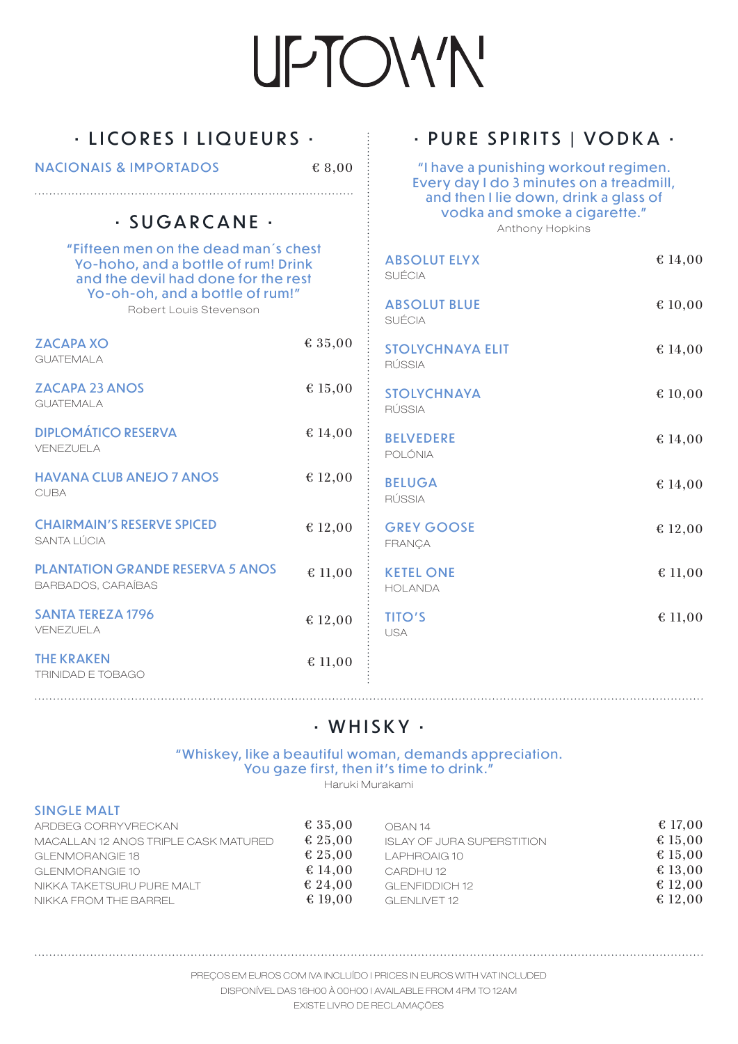## • LICORES I LIQUEURS •

NACIONAIS & IMPORTADOS

€ 8,00

## • SUGARCANE •

"Fifteen men on the dead man's chest Yo-hoho, and a bottle of rum! Drink and the devil had done for the rest Yo-oh-oh, and a bottle of rum!" Robert Louis Stevenson ZACAPA XO  $\epsilon$  3

| <b>GUATEMALA</b>                                                     |         |
|----------------------------------------------------------------------|---------|
| <b>ZACAPA 23 ANOS</b><br><b>GUATEMALA</b>                            | € 15,00 |
| <b>DIPLOMÁTICO RESERVA</b><br>VENEZUELA                              | € 14,00 |
| <b>HAVANA CLUB ANEJO 7 ANOS</b><br><b>CUBA</b>                       | € 12,00 |
| <b>CHAIRMAIN'S RESERVE SPICED</b><br>SANTA LÚCIA                     | € 12,00 |
| <b>PLANTATION GRANDE RESERVA 5 ANOS</b><br><b>BARBADOS, CARAÍBAS</b> | € 11,00 |
| <b>SANTA TEREZA 1796</b><br>VENEZUELA                                | € 12,00 |
| <b>THE KRAKEN</b>                                                    | € 11.00 |

## • PURE SPIRITS | VODKA •

"I have a punishing workout regimen. Every day I do 3 minutes on a treadmill, and then I lie down, drink a glass of vodka and smoke a cigarette." Anthony Hopkins

|      | <b>ABSOLUT ELYX</b><br>SUÉCIA            | € 14,00 |
|------|------------------------------------------|---------|
|      | <b>ABSOLUT BLUE</b><br><b>SUÉCIA</b>     | € 10,00 |
| 5,00 | <b>STOLYCHNAYA ELIT</b><br><b>RÚSSIA</b> | € 14,00 |
| 5,00 | <b>STOLYCHNAYA</b><br>RÚSSIA             | € 10,00 |
| 4,00 | <b>BELVEDERE</b><br>POLÓNIA              | € 14,00 |
| 2,00 | <b>BELUGA</b><br><b>RÚSSIA</b>           | € 14,00 |
| 2,00 | <b>GREY GOOSE</b><br>FRANÇA              | € 12,00 |
| 1,00 | <b>KETEL ONE</b><br><b>HOLANDA</b>       | € 11,00 |
| 2,00 | <b>TITO'S</b><br>USA                     | € 11,00 |
| 1,00 |                                          |         |

## • WHISKY •

" Whiskey, like a beautiful woman, demands appreciation. You gaze first, then it's time to drink."

Haruki Murakami

#### SINGLE MALT

TRINIDAD E TOBAGO

| ARDBEG CORRYVRECKAN<br>MACALLAN 12 ANOS TRIPLE CASK MATURED<br>GLENMORANGIE 18<br>GLENMORANGIE 10<br>NIKKA TAKETSURU PURE MALT | € 35.00<br>€ 25.00<br>€ 25.00<br>€ 14.00<br>€ 24.00 | OBAN 14<br><b>ISLAY OF JURA SUPERSTITION</b><br>LAPHROAIG 10<br>CARDHU <sub>12</sub><br>GLENEIDDICH 12 | € 17,00<br>€ 15,00<br>€ 15,00<br>€ 13.00<br>€ 12,00 |
|--------------------------------------------------------------------------------------------------------------------------------|-----------------------------------------------------|--------------------------------------------------------------------------------------------------------|-----------------------------------------------------|
|                                                                                                                                |                                                     |                                                                                                        |                                                     |
| NIKKA FROM THE BARREL                                                                                                          | € 19.00                                             | GLENLIVET 12                                                                                           | € 12.00                                             |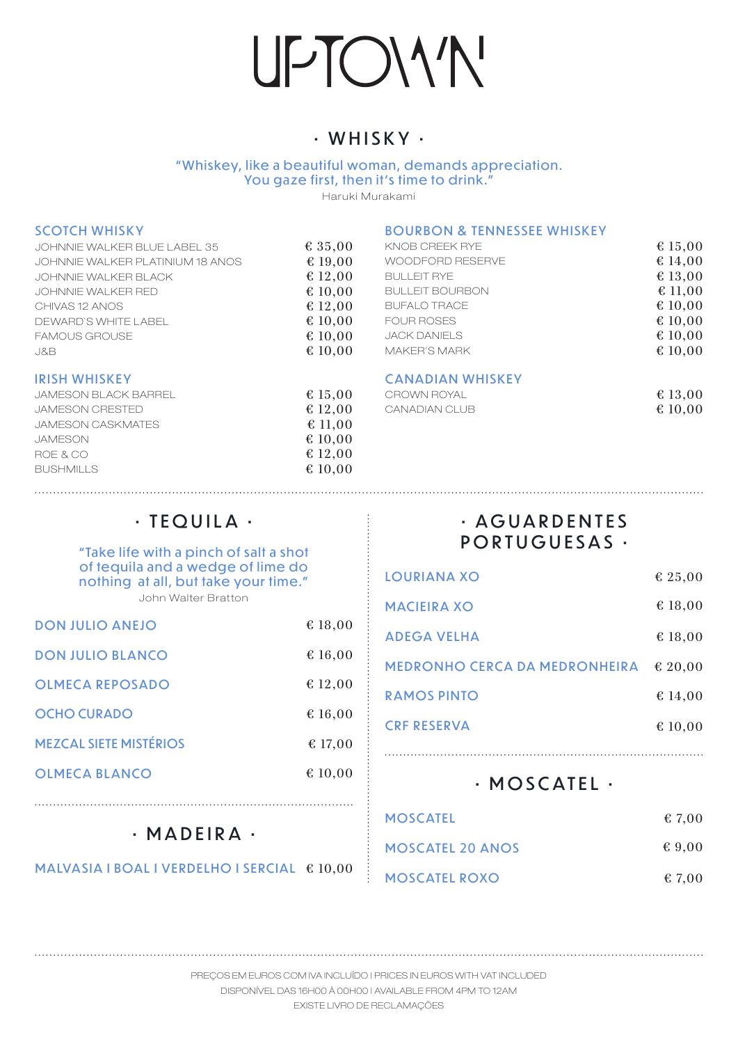## UPTOWN'

## • WHISKY •

" Whiskey, like a beautiful woman, demands appreciation. You gaze first, then it's time to drink.'

Haruki Murakami

#### SCOTCH WHISKY

BOURBON & TENNESSEE WHISKEY

| JOHNNIE WALKER BLUE LABEL 35     | € 35,00 | KNOB CREEK RYE         | € 15,00 |
|----------------------------------|---------|------------------------|---------|
| JOHNNIE WALKER PLATINIUM 18 ANOS | € 19,00 | WOODFORD RESERVE       | € 14,00 |
| JOHNNIE WALKER BLACK             | € 12,00 | <b>BULLEIT RYE</b>     | € 13,00 |
| JOHNNIE WALKER RED               | € 10.00 | <b>BULLEIT BOURBON</b> | € 11,00 |
| CHIVAS 12 ANOS                   | € 12,00 | <b>BUFALO TRACE</b>    | € 10,00 |
| DEWARD'S WHITE LABEL             | € 10.00 | <b>FOUR ROSES</b>      | € 10,00 |
| <b>FAMOUS GROUSE</b>             | € 10,00 | JACK DANIELS           | € 10,00 |
| J&B                              | € 10,00 | <b>MAKER'S MARK</b>    | € 10,00 |
| <b>IRISH WHISKEY</b>             |         | CANADIAN WHISKEY       |         |

#### IRISH WHISKEY

| JAMESON BLACK BARREL     | $\text{\&} 15.00$ |
|--------------------------|-------------------|
| <b>JAMESON CRESTED</b>   | € 12.00           |
| <b>JAMESON CASKMATES</b> | $\text{\&} 11.00$ |
| <b>JAMESON</b>           | € 10.00           |
| ROE & CO                 | € 12.00           |
| <b>BUSHMILLS</b>         | € 10.00           |
|                          |                   |

#### ANADIAN WHISKEY

| CROWN ROYAL   | € 13,00 |
|---------------|---------|
| CANADIAN CLUB | € 10,00 |

#### • TEQUILA •

#### "Take life with a pinch of salt a shot of tequila and a wedge of lime do nothing at all, but take your time." John Walter Bratton

| <b>DON JULIO ANEJO</b>        | € 18,00           |
|-------------------------------|-------------------|
| <b>DON JULIO BLANCO</b>       | € 16,00           |
| <b>OLMECA REPOSADO</b>        | € 12,00           |
| <b>OCHO CURADO</b>            | € 16,00           |
| <b>MEZCAL SIETE MISTÉRIOS</b> | $\text{\&}$ 17,00 |
| <b>OLMECA BLANCO</b>          | € 10,00           |
|                               |                   |

## • A G U A R D E N T E S PORTUGUESAS •

| <b>LOURIANA XO</b>                   | € 25,00 |
|--------------------------------------|---------|
| <b>MACIEIRA XO</b>                   | € 18,00 |
| <b>ADEGA VELHA</b>                   | € 18,00 |
| <b>MEDRONHO CERCA DA MEDRONHEIRA</b> | € 20.00 |
| <b>RAMOS PINTO</b>                   | € 14,00 |
| <b>CRF RESERVA</b>                   | € 10,00 |
|                                      |         |

### • MOSCATEL •

| <b>MOSCATEL</b>         | $\text{\&} 7.00$ |
|-------------------------|------------------|
| <b>MOSCATEL 20 ANOS</b> | $\epsilon$ 9.00  |
| <b>MOSCATEL ROXO</b>    | $\text{\&} 7.00$ |

## • MADEIRA •

MALVASIA I BOAL I VERDELHO I SERCIAL  $610,00$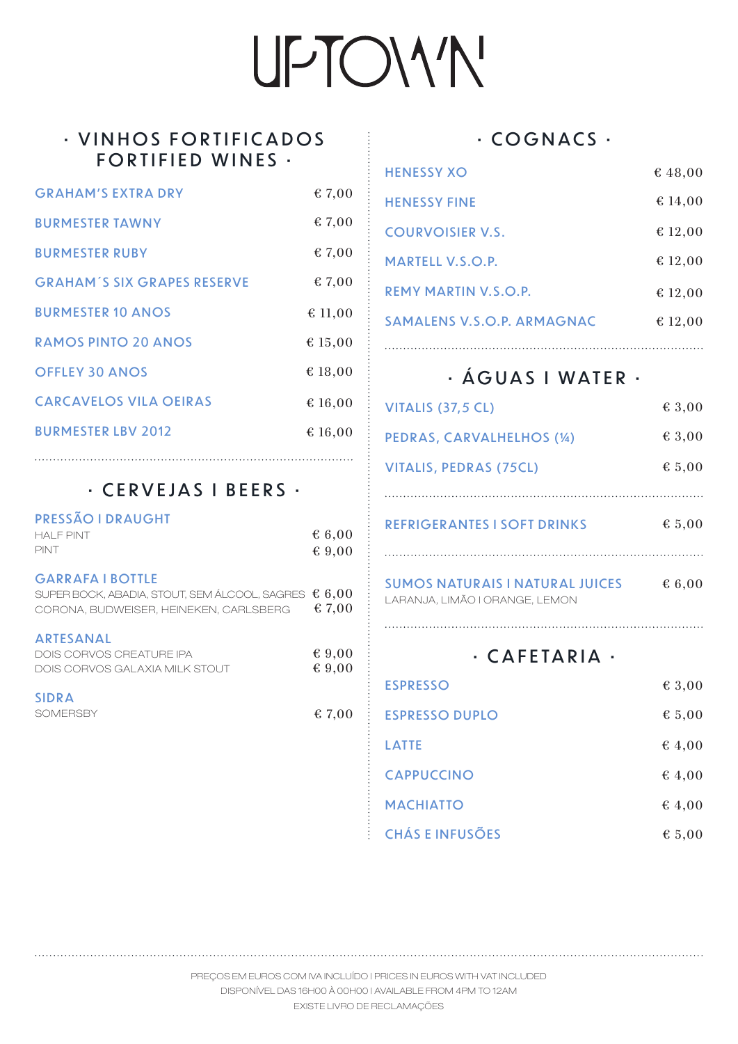## UPTOIV'N'

### • VINHOS FORTIFICADOS FORTIFIED WINES •

| <b>GRAHAM'S EXTRA DRY</b>          | € 7,00           |
|------------------------------------|------------------|
| <b>BURMESTER TAWNY</b>             | $\text{\& }7,00$ |
| <b>BURMESTER RUBY</b>              | € 7,00           |
| <b>GRAHAM'S SIX GRAPES RESERVE</b> | $\text{\& }7,00$ |
| <b>BURMESTER 10 ANOS</b>           | € 11,00          |
| <b>RAMOS PINTO 20 ANOS</b>         | € 15,00          |
| <b>OFFLEY 30 ANOS</b>              | € 18,00          |
| <b>CARCAVELOS VILA OEIRAS</b>      | € 16,00          |
| <b>BURMESTER LBV 2012</b>          | € 16,00          |
|                                    |                  |

### • CERVEJAS I BEERS •

| <b>PRESSÃO I DRAUGHT</b><br><b>HAI F PINT</b><br>PINT                                                              | \$6,00<br>$\epsilon$ 9,00 |
|--------------------------------------------------------------------------------------------------------------------|---------------------------|
| <b>GARRAFA I BOTTLE</b><br>SUPER BOCK, ABADIA, STOUT, SEM ÁLCOOL, SAGRES<br>CORONA, BUDWEISER, HEINEKEN, CARLSBERG | 6,00<br>€ 7,00            |
| <b>ARTESANAL</b><br>DOIS CORVOS CREATURE IPA<br>DOIS CORVOS GALAXIA MILK STOUT                                     | & 9,00<br>€ 9,00          |
| <b>SIDRA</b><br><b>SOMFRSBY</b>                                                                                    | € 7,00                    |
|                                                                                                                    |                           |

### • COGNACS •

| <b>HENESSY XO</b>          | € 48,00 |
|----------------------------|---------|
| <b>HENESSY FINE</b>        | € 14,00 |
| <b>COURVOISIER V.S.</b>    | € 12,00 |
| <b>MARTELL V.S.O.P.</b>    | € 12,00 |
| REMY MARTIN V.S.O.P.       | € 12,00 |
| SAMALENS V.S.O.P. ARMAGNAC | € 12,00 |
|                            |         |

## • ÁGUAS I WATER •

| VITALIS (37,5 CL)                                                        | € 3,00 |
|--------------------------------------------------------------------------|--------|
| PEDRAS, CARVALHELHOS (14)                                                | € 3,00 |
| <b>VITALIS, PEDRAS (75CL)</b>                                            | \$5,00 |
|                                                                          |        |
| <b>REFRIGERANTES I SOFT DRINKS</b>                                       | € 5,00 |
| <b>SUMOS NATURAIS I NATURAL JUICES</b><br>LARANJA, LIMÃO I ORANGE, LEMON | \$6.00 |
| · CAFETARIA                                                              |        |

| <b>ESPRESSO</b>        | € 3,00           |
|------------------------|------------------|
| <b>ESPRESSO DUPLO</b>  | \$5,00           |
| <b>LATTE</b>           | $\text{\&} 4.00$ |
| <b>CAPPUCCINO</b>      | € 4,00           |
| <b>MACHIATTO</b>       | € 4,00           |
| <b>CHÁS E INFUSÕES</b> | \$5,00           |

PREÇOS EM EUROS COM IVA INCLUÍDO | PRICES IN EUROS WITH VAT INCLUDED DISPONÍVEL DAS 16H00 À 00H00 | AVAILABLE FROM 4PM TO 12AM

EXISTE LIVRO DE RECLAMAÇÕES